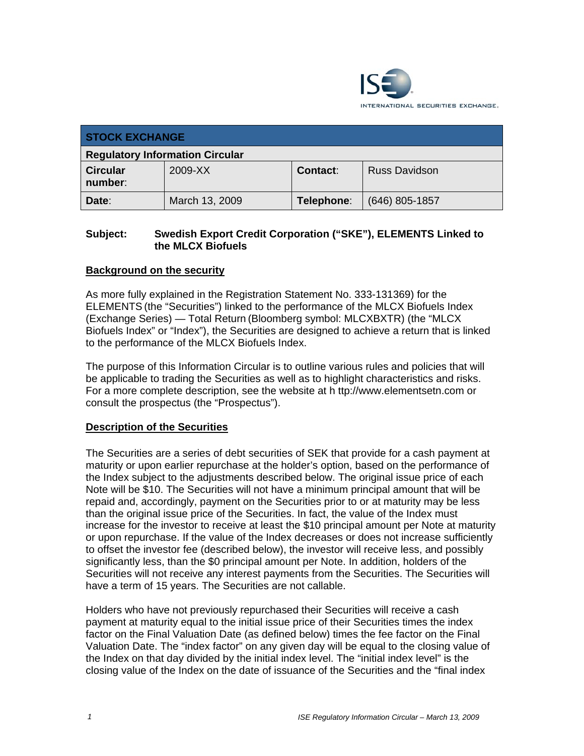

| <b>STOCK EXCHANGE</b>                  |                |            |                      |
|----------------------------------------|----------------|------------|----------------------|
| <b>Regulatory Information Circular</b> |                |            |                      |
| <b>Circular</b><br>number:             | 2009-XX        | Contact:   | <b>Russ Davidson</b> |
| Date:                                  | March 13, 2009 | Telephone: | $(646)$ 805-1857     |

### **Subject: Swedish Export Credit Corporation ("SKE"), ELEMENTS Linked to the MLCX Biofuels**

## **Background on the security**

As more fully explained in the Registration Statement No. 333-131369) for the ELEMENTS (the "Securities") linked to the performance of the MLCX Biofuels Index (Exchange Series) — Total Return (Bloomberg symbol: MLCXBXTR) (the "MLCX Biofuels Index" or "Index"), the Securities are designed to achieve a return that is linked to the performance of the MLCX Biofuels Index.

The purpose of this Information Circular is to outline various rules and policies that will be applicable to trading the Securities as well as to highlight characteristics and risks. For a more complete description, see the website at h ttp://www.elementsetn.com or consult the prospectus (the "Prospectus").

#### **Description of the Securities**

The Securities are a series of debt securities of SEK that provide for a cash payment at maturity or upon earlier repurchase at the holder's option, based on the performance of the Index subject to the adjustments described below. The original issue price of each Note will be \$10. The Securities will not have a minimum principal amount that will be repaid and, accordingly, payment on the Securities prior to or at maturity may be less than the original issue price of the Securities. In fact, the value of the Index must increase for the investor to receive at least the \$10 principal amount per Note at maturity or upon repurchase. If the value of the Index decreases or does not increase sufficiently to offset the investor fee (described below), the investor will receive less, and possibly significantly less, than the \$0 principal amount per Note. In addition, holders of the Securities will not receive any interest payments from the Securities. The Securities will have a term of 15 years. The Securities are not callable.

Holders who have not previously repurchased their Securities will receive a cash payment at maturity equal to the initial issue price of their Securities times the index factor on the Final Valuation Date (as defined below) times the fee factor on the Final Valuation Date. The "index factor" on any given day will be equal to the closing value of the Index on that day divided by the initial index level. The "initial index level" is the closing value of the Index on the date of issuance of the Securities and the "final index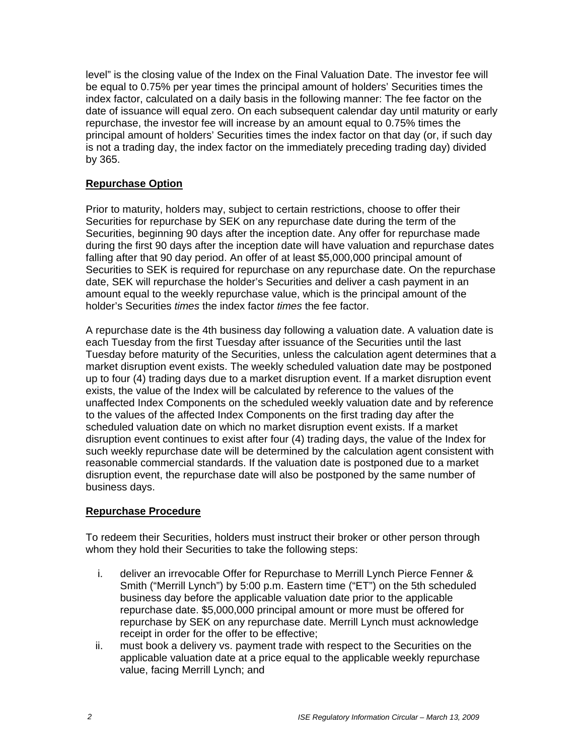level" is the closing value of the Index on the Final Valuation Date. The investor fee will be equal to 0.75% per year times the principal amount of holders' Securities times the index factor, calculated on a daily basis in the following manner: The fee factor on the date of issuance will equal zero. On each subsequent calendar day until maturity or early repurchase, the investor fee will increase by an amount equal to 0.75% times the principal amount of holders' Securities times the index factor on that day (or, if such day is not a trading day, the index factor on the immediately preceding trading day) divided by 365.

## **Repurchase Option**

Prior to maturity, holders may, subject to certain restrictions, choose to offer their Securities for repurchase by SEK on any repurchase date during the term of the Securities, beginning 90 days after the inception date. Any offer for repurchase made during the first 90 days after the inception date will have valuation and repurchase dates falling after that 90 day period. An offer of at least \$5,000,000 principal amount of Securities to SEK is required for repurchase on any repurchase date. On the repurchase date, SEK will repurchase the holder's Securities and deliver a cash payment in an amount equal to the weekly repurchase value, which is the principal amount of the holder's Securities *times* the index factor *times* the fee factor.

A repurchase date is the 4th business day following a valuation date. A valuation date is each Tuesday from the first Tuesday after issuance of the Securities until the last Tuesday before maturity of the Securities, unless the calculation agent determines that a market disruption event exists. The weekly scheduled valuation date may be postponed up to four (4) trading days due to a market disruption event. If a market disruption event exists, the value of the Index will be calculated by reference to the values of the unaffected Index Components on the scheduled weekly valuation date and by reference to the values of the affected Index Components on the first trading day after the scheduled valuation date on which no market disruption event exists. If a market disruption event continues to exist after four (4) trading days, the value of the Index for such weekly repurchase date will be determined by the calculation agent consistent with reasonable commercial standards. If the valuation date is postponed due to a market disruption event, the repurchase date will also be postponed by the same number of business days.

#### **Repurchase Procedure**

To redeem their Securities, holders must instruct their broker or other person through whom they hold their Securities to take the following steps:

- i. deliver an irrevocable Offer for Repurchase to Merrill Lynch Pierce Fenner & Smith ("Merrill Lynch") by 5:00 p.m. Eastern time ("ET") on the 5th scheduled business day before the applicable valuation date prior to the applicable repurchase date. \$5,000,000 principal amount or more must be offered for repurchase by SEK on any repurchase date. Merrill Lynch must acknowledge receipt in order for the offer to be effective;
- ii. must book a delivery vs. payment trade with respect to the Securities on the applicable valuation date at a price equal to the applicable weekly repurchase value, facing Merrill Lynch; and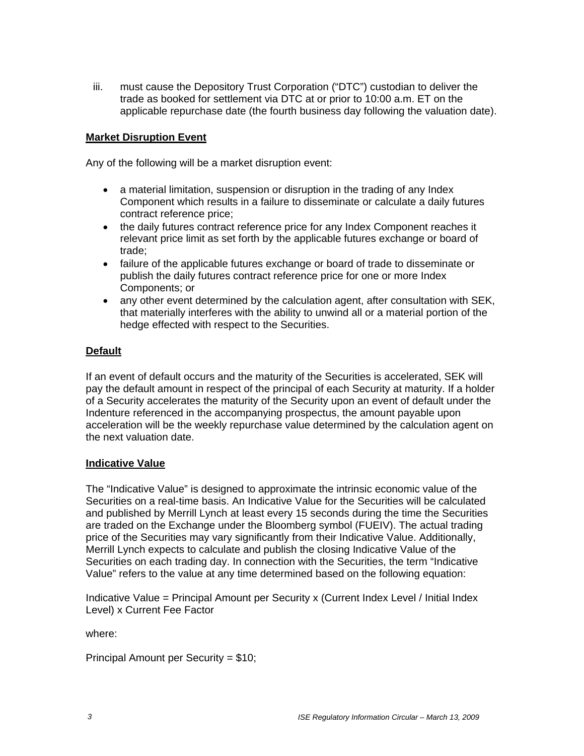iii. must cause the Depository Trust Corporation ("DTC") custodian to deliver the trade as booked for settlement via DTC at or prior to 10:00 a.m. ET on the applicable repurchase date (the fourth business day following the valuation date).

#### **Market Disruption Event**

Any of the following will be a market disruption event:

- a material limitation, suspension or disruption in the trading of any Index Component which results in a failure to disseminate or calculate a daily futures contract reference price;
- the daily futures contract reference price for any Index Component reaches it relevant price limit as set forth by the applicable futures exchange or board of trade;
- failure of the applicable futures exchange or board of trade to disseminate or publish the daily futures contract reference price for one or more Index Components; or
- any other event determined by the calculation agent, after consultation with SEK, that materially interferes with the ability to unwind all or a material portion of the hedge effected with respect to the Securities.

#### **Default**

If an event of default occurs and the maturity of the Securities is accelerated, SEK will pay the default amount in respect of the principal of each Security at maturity. If a holder of a Security accelerates the maturity of the Security upon an event of default under the Indenture referenced in the accompanying prospectus, the amount payable upon acceleration will be the weekly repurchase value determined by the calculation agent on the next valuation date.

#### **Indicative Value**

The "Indicative Value" is designed to approximate the intrinsic economic value of the Securities on a real-time basis. An Indicative Value for the Securities will be calculated and published by Merrill Lynch at least every 15 seconds during the time the Securities are traded on the Exchange under the Bloomberg symbol (FUEIV). The actual trading price of the Securities may vary significantly from their Indicative Value. Additionally, Merrill Lynch expects to calculate and publish the closing Indicative Value of the Securities on each trading day. In connection with the Securities, the term "Indicative Value" refers to the value at any time determined based on the following equation:

Indicative Value = Principal Amount per Security x (Current Index Level / Initial Index Level) x Current Fee Factor

where:

Principal Amount per Security = \$10;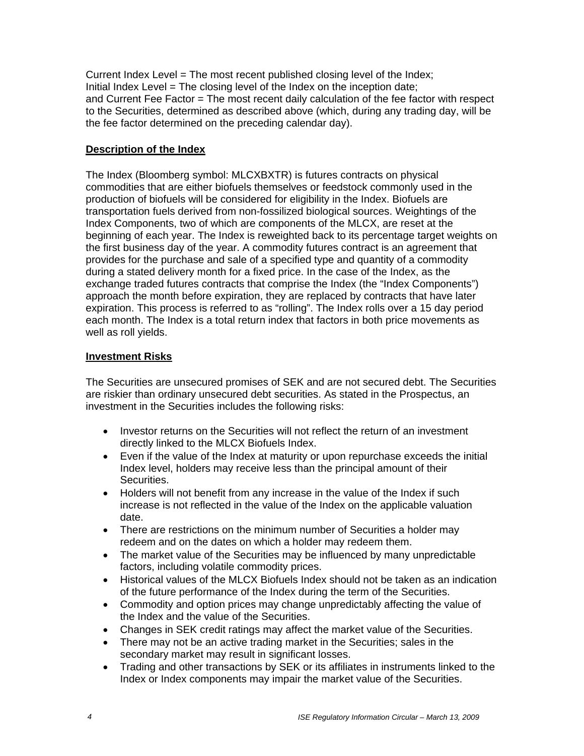Current Index Level = The most recent published closing level of the Index; Initial Index Level = The closing level of the Index on the inception date; and Current Fee Factor = The most recent daily calculation of the fee factor with respect to the Securities, determined as described above (which, during any trading day, will be the fee factor determined on the preceding calendar day).

## **Description of the Index**

The Index (Bloomberg symbol: MLCXBXTR) is futures contracts on physical commodities that are either biofuels themselves or feedstock commonly used in the production of biofuels will be considered for eligibility in the Index. Biofuels are transportation fuels derived from non-fossilized biological sources. Weightings of the Index Components, two of which are components of the MLCX, are reset at the beginning of each year. The Index is reweighted back to its percentage target weights on the first business day of the year. A commodity futures contract is an agreement that provides for the purchase and sale of a specified type and quantity of a commodity during a stated delivery month for a fixed price. In the case of the Index, as the exchange traded futures contracts that comprise the Index (the "Index Components") approach the month before expiration, they are replaced by contracts that have later expiration. This process is referred to as "rolling". The Index rolls over a 15 day period each month. The Index is a total return index that factors in both price movements as well as roll yields.

## **Investment Risks**

The Securities are unsecured promises of SEK and are not secured debt. The Securities are riskier than ordinary unsecured debt securities. As stated in the Prospectus, an investment in the Securities includes the following risks:

- Investor returns on the Securities will not reflect the return of an investment directly linked to the MLCX Biofuels Index.
- Even if the value of the Index at maturity or upon repurchase exceeds the initial Index level, holders may receive less than the principal amount of their Securities.
- Holders will not benefit from any increase in the value of the Index if such increase is not reflected in the value of the Index on the applicable valuation date.
- There are restrictions on the minimum number of Securities a holder may redeem and on the dates on which a holder may redeem them.
- The market value of the Securities may be influenced by many unpredictable factors, including volatile commodity prices.
- Historical values of the MLCX Biofuels Index should not be taken as an indication of the future performance of the Index during the term of the Securities.
- Commodity and option prices may change unpredictably affecting the value of the Index and the value of the Securities.
- Changes in SEK credit ratings may affect the market value of the Securities.
- There may not be an active trading market in the Securities; sales in the secondary market may result in significant losses.
- Trading and other transactions by SEK or its affiliates in instruments linked to the Index or Index components may impair the market value of the Securities.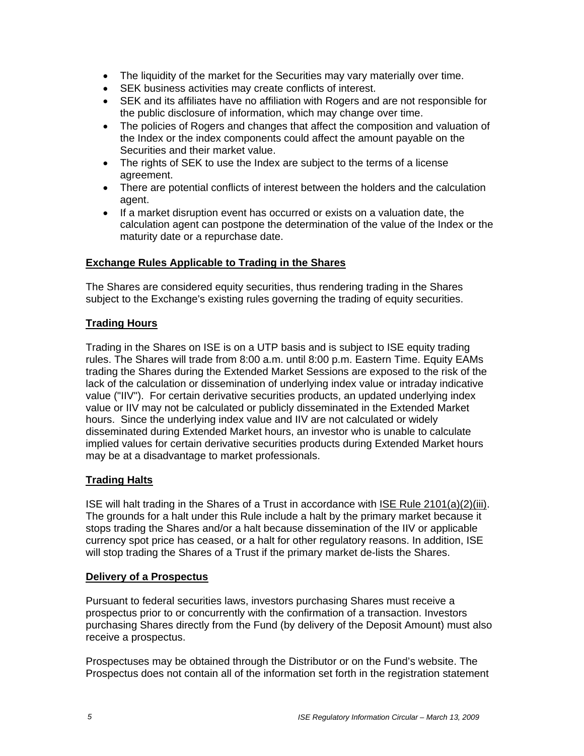- The liquidity of the market for the Securities may vary materially over time.
- SEK business activities may create conflicts of interest.
- SEK and its affiliates have no affiliation with Rogers and are not responsible for the public disclosure of information, which may change over time.
- The policies of Rogers and changes that affect the composition and valuation of the Index or the index components could affect the amount payable on the Securities and their market value.
- The rights of SEK to use the Index are subject to the terms of a license agreement.
- There are potential conflicts of interest between the holders and the calculation agent.
- If a market disruption event has occurred or exists on a valuation date, the calculation agent can postpone the determination of the value of the Index or the maturity date or a repurchase date.

## **Exchange Rules Applicable to Trading in the Shares**

The Shares are considered equity securities, thus rendering trading in the Shares subject to the Exchange's existing rules governing the trading of equity securities.

## **Trading Hours**

Trading in the Shares on ISE is on a UTP basis and is subject to ISE equity trading rules. The Shares will trade from 8:00 a.m. until 8:00 p.m. Eastern Time. Equity EAMs trading the Shares during the Extended Market Sessions are exposed to the risk of the lack of the calculation or dissemination of underlying index value or intraday indicative value ("IIV"). For certain derivative securities products, an updated underlying index value or IIV may not be calculated or publicly disseminated in the Extended Market hours. Since the underlying index value and IIV are not calculated or widely disseminated during Extended Market hours, an investor who is unable to calculate implied values for certain derivative securities products during Extended Market hours may be at a disadvantage to market professionals.

#### **Trading Halts**

ISE will halt trading in the Shares of a Trust in accordance with ISE Rule 2101(a)(2)(iii). The grounds for a halt under this Rule include a halt by the primary market because it stops trading the Shares and/or a halt because dissemination of the IIV or applicable currency spot price has ceased, or a halt for other regulatory reasons. In addition, ISE will stop trading the Shares of a Trust if the primary market de-lists the Shares.

#### **Delivery of a Prospectus**

Pursuant to federal securities laws, investors purchasing Shares must receive a prospectus prior to or concurrently with the confirmation of a transaction. Investors purchasing Shares directly from the Fund (by delivery of the Deposit Amount) must also receive a prospectus.

Prospectuses may be obtained through the Distributor or on the Fund's website. The Prospectus does not contain all of the information set forth in the registration statement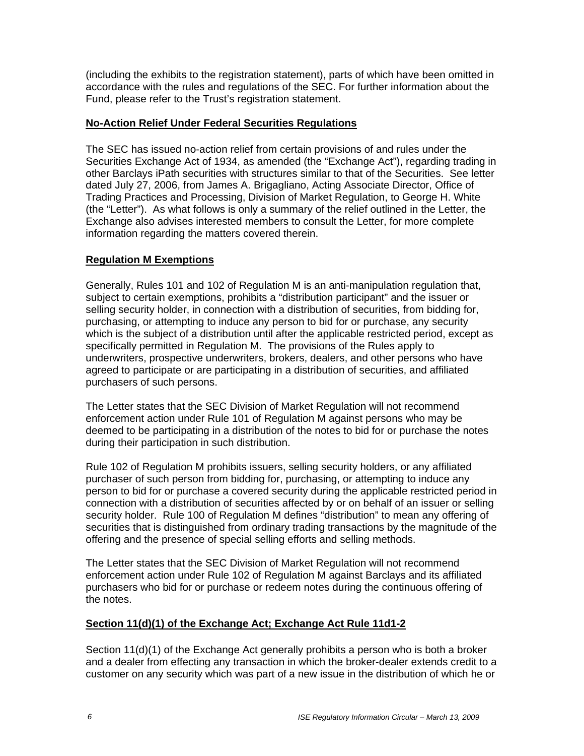(including the exhibits to the registration statement), parts of which have been omitted in accordance with the rules and regulations of the SEC. For further information about the Fund, please refer to the Trust's registration statement.

### **No-Action Relief Under Federal Securities Regulations**

The SEC has issued no-action relief from certain provisions of and rules under the Securities Exchange Act of 1934, as amended (the "Exchange Act"), regarding trading in other Barclays iPath securities with structures similar to that of the Securities. See letter dated July 27, 2006, from James A. Brigagliano, Acting Associate Director, Office of Trading Practices and Processing, Division of Market Regulation, to George H. White (the "Letter"). As what follows is only a summary of the relief outlined in the Letter, the Exchange also advises interested members to consult the Letter, for more complete information regarding the matters covered therein.

## **Regulation M Exemptions**

Generally, Rules 101 and 102 of Regulation M is an anti-manipulation regulation that, subject to certain exemptions, prohibits a "distribution participant" and the issuer or selling security holder, in connection with a distribution of securities, from bidding for, purchasing, or attempting to induce any person to bid for or purchase, any security which is the subject of a distribution until after the applicable restricted period, except as specifically permitted in Regulation M. The provisions of the Rules apply to underwriters, prospective underwriters, brokers, dealers, and other persons who have agreed to participate or are participating in a distribution of securities, and affiliated purchasers of such persons.

The Letter states that the SEC Division of Market Regulation will not recommend enforcement action under Rule 101 of Regulation M against persons who may be deemed to be participating in a distribution of the notes to bid for or purchase the notes during their participation in such distribution.

Rule 102 of Regulation M prohibits issuers, selling security holders, or any affiliated purchaser of such person from bidding for, purchasing, or attempting to induce any person to bid for or purchase a covered security during the applicable restricted period in connection with a distribution of securities affected by or on behalf of an issuer or selling security holder. Rule 100 of Regulation M defines "distribution" to mean any offering of securities that is distinguished from ordinary trading transactions by the magnitude of the offering and the presence of special selling efforts and selling methods.

The Letter states that the SEC Division of Market Regulation will not recommend enforcement action under Rule 102 of Regulation M against Barclays and its affiliated purchasers who bid for or purchase or redeem notes during the continuous offering of the notes.

#### **Section 11(d)(1) of the Exchange Act; Exchange Act Rule 11d1-2**

Section 11(d)(1) of the Exchange Act generally prohibits a person who is both a broker and a dealer from effecting any transaction in which the broker-dealer extends credit to a customer on any security which was part of a new issue in the distribution of which he or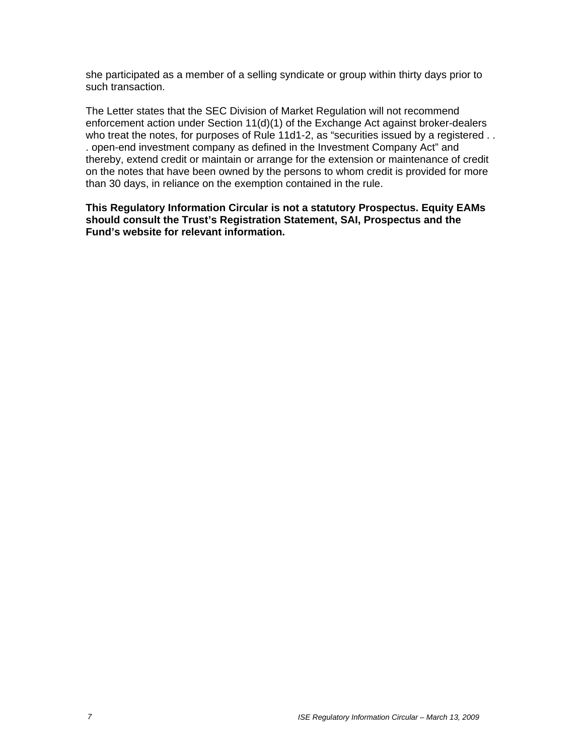she participated as a member of a selling syndicate or group within thirty days prior to such transaction.

The Letter states that the SEC Division of Market Regulation will not recommend enforcement action under Section 11(d)(1) of the Exchange Act against broker-dealers who treat the notes, for purposes of Rule 11d1-2, as "securities issued by a registered . . . open-end investment company as defined in the Investment Company Act" and thereby, extend credit or maintain or arrange for the extension or maintenance of credit on the notes that have been owned by the persons to whom credit is provided for more than 30 days, in reliance on the exemption contained in the rule.

**This Regulatory Information Circular is not a statutory Prospectus. Equity EAMs should consult the Trust's Registration Statement, SAI, Prospectus and the Fund's website for relevant information.**